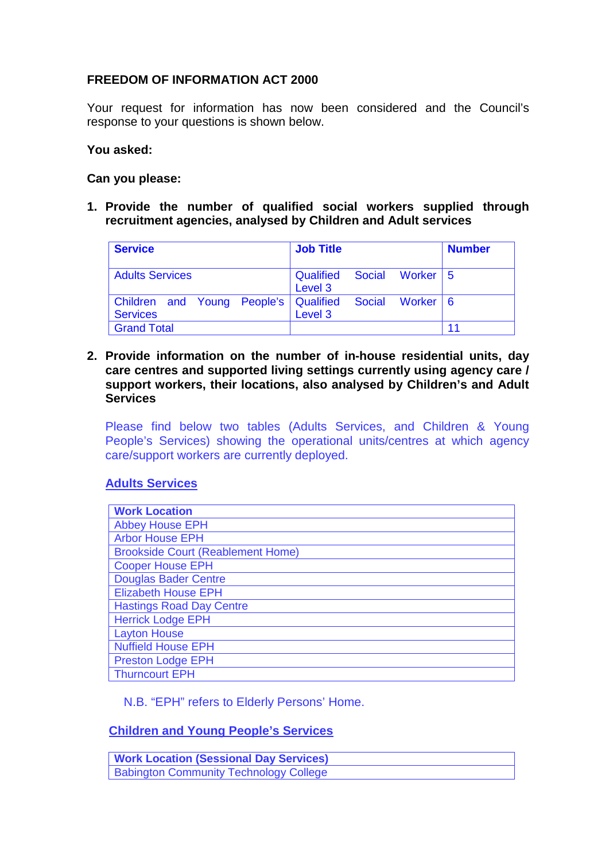# **FREEDOM OF INFORMATION ACT 2000**

Your request for information has now been considered and the Council's response to your questions is shown below.

### **You asked:**

### **Can you please:**

**1. Provide the number of qualified social workers supplied through recruitment agencies, analysed by Children and Adult services**

| <b>Service</b>                                           | <b>Job Title</b>                          | <b>Number</b> |
|----------------------------------------------------------|-------------------------------------------|---------------|
| <b>Adults Services</b>                                   | Qualified<br>Social Worker   5<br>Level 3 |               |
| Children and Young People's Qualified<br><b>Services</b> | <b>Social</b><br>Worker   6<br>Level 3    |               |
| <b>Grand Total</b>                                       |                                           | 11            |

**2. Provide information on the number of in-house residential units, day care centres and supported living settings currently using agency care / support workers, their locations, also analysed by Children's and Adult Services**

Please find below two tables (Adults Services, and Children & Young People's Services) showing the operational units/centres at which agency care/support workers are currently deployed.

### **Adults Services**

| <b>Work Location</b>                     |
|------------------------------------------|
| <b>Abbey House EPH</b>                   |
| <b>Arbor House EPH</b>                   |
| <b>Brookside Court (Reablement Home)</b> |
| <b>Cooper House EPH</b>                  |
| <b>Douglas Bader Centre</b>              |
| <b>Elizabeth House EPH</b>               |
| <b>Hastings Road Day Centre</b>          |
| <b>Herrick Lodge EPH</b>                 |
| <b>Layton House</b>                      |
| <b>Nuffield House EPH</b>                |
| <b>Preston Lodge EPH</b>                 |
| <b>Thurncourt EPH</b>                    |

N.B. "EPH" refers to Elderly Persons' Home.

## **Children and Young People's Services**

| <b>Work Location (Sessional Day Services)</b> |  |
|-----------------------------------------------|--|
| <b>Babington Community Technology College</b> |  |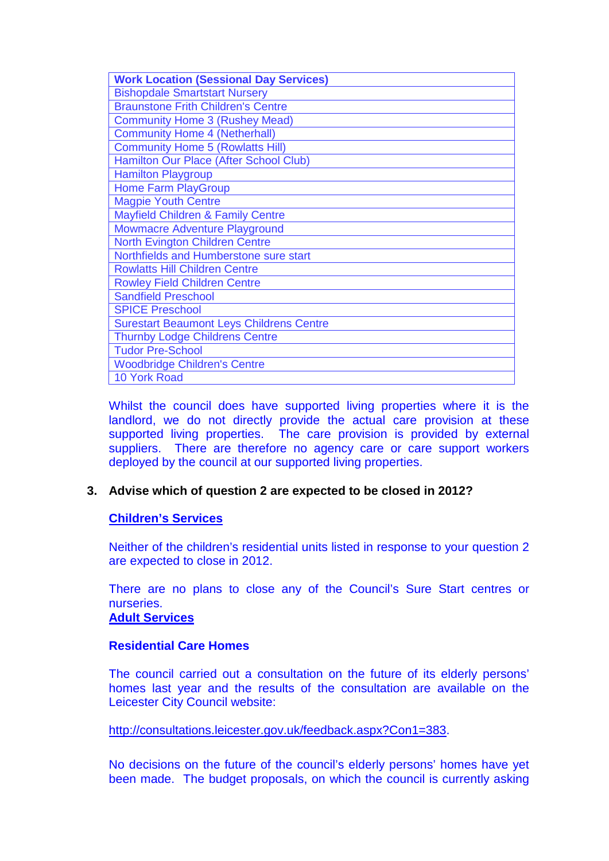| <b>Work Location (Sessional Day Services)</b>   |
|-------------------------------------------------|
| <b>Bishopdale Smartstart Nursery</b>            |
| <b>Braunstone Frith Children's Centre</b>       |
| <b>Community Home 3 (Rushey Mead)</b>           |
| <b>Community Home 4 (Netherhall)</b>            |
| <b>Community Home 5 (Rowlatts Hill)</b>         |
| Hamilton Our Place (After School Club)          |
| <b>Hamilton Playgroup</b>                       |
| Home Farm PlayGroup                             |
| <b>Magpie Youth Centre</b>                      |
| <b>Mayfield Children &amp; Family Centre</b>    |
| Mowmacre Adventure Playground                   |
| <b>North Evington Children Centre</b>           |
| Northfields and Humberstone sure start          |
| <b>Rowlatts Hill Children Centre</b>            |
| <b>Rowley Field Children Centre</b>             |
| <b>Sandfield Preschool</b>                      |
| <b>SPICE Preschool</b>                          |
| <b>Surestart Beaumont Leys Childrens Centre</b> |
| <b>Thurnby Lodge Childrens Centre</b>           |
| <b>Tudor Pre-School</b>                         |
| <b>Woodbridge Children's Centre</b>             |
| <b>10 York Road</b>                             |

Whilst the council does have supported living properties where it is the landlord, we do not directly provide the actual care provision at these supported living properties. The care provision is provided by external suppliers. There are therefore no agency care or care support workers deployed by the council at our supported living properties.

# **3. Advise which of question 2 are expected to be closed in 2012?**

# **Children's Services**

Neither of the children's residential units listed in response to your question 2 are expected to close in 2012.

There are no plans to close any of the Council's Sure Start centres or nurseries.

### **Adult Services**

### **Residential Care Homes**

The council carried out a consultation on the future of its elderly persons' homes last year and the results of the consultation are available on the Leicester City Council website:

[http://consultations.leicester.gov.uk/feedback.aspx?Con1=383.](http://consultations.leicester.gov.uk/feedback.aspx?Con1=383)

No decisions on the future of the council's elderly persons' homes have yet been made. The budget proposals, on which the council is currently asking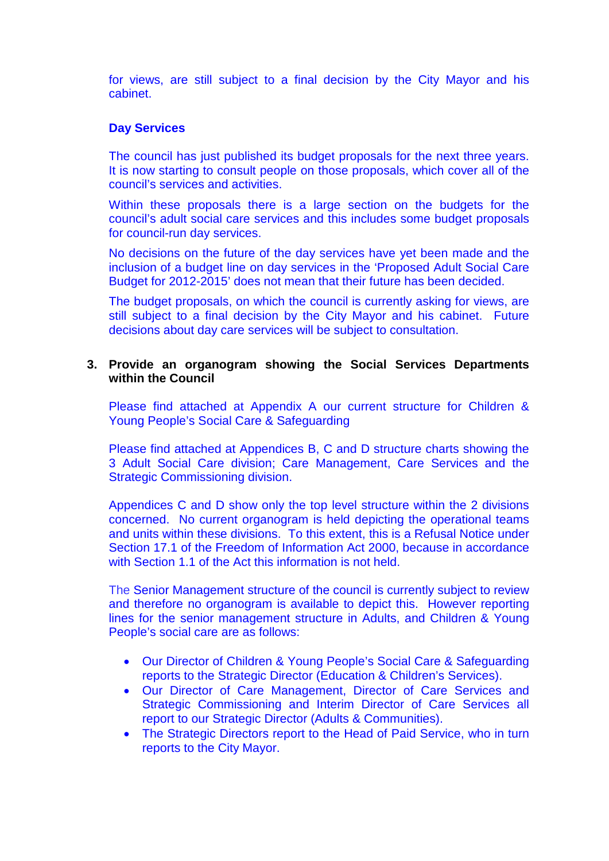for views, are still subject to a final decision by the City Mayor and his cabinet.

### **Day Services**

The council has just published its budget proposals for the next three years. It is now starting to consult people on those proposals, which cover all of the council's services and activities.

Within these proposals there is a large section on the budgets for the council's adult social care services and this includes some budget proposals for council-run day services.

No decisions on the future of the day services have yet been made and the inclusion of a budget line on day services in the 'Proposed Adult Social Care Budget for 2012-2015' does not mean that their future has been decided.

The budget proposals, on which the council is currently asking for views, are still subject to a final decision by the City Mayor and his cabinet. Future decisions about day care services will be subject to consultation.

### **3. Provide an organogram showing the Social Services Departments within the Council**

Please find attached at Appendix A our current structure for Children & Young People's Social Care & Safeguarding

Please find attached at Appendices B, C and D structure charts showing the 3 Adult Social Care division; Care Management, Care Services and the Strategic Commissioning division.

Appendices C and D show only the top level structure within the 2 divisions concerned. No current organogram is held depicting the operational teams and units within these divisions. To this extent, this is a Refusal Notice under Section 17.1 of the Freedom of Information Act 2000, because in accordance with Section 1.1 of the Act this information is not held.

The Senior Management structure of the council is currently subject to review and therefore no organogram is available to depict this. However reporting lines for the senior management structure in Adults, and Children & Young People's social care are as follows:

- Our Director of Children & Young People's Social Care & Safeguarding reports to the Strategic Director (Education & Children's Services).
- Our Director of Care Management, Director of Care Services and Strategic Commissioning and Interim Director of Care Services all report to our Strategic Director (Adults & Communities).
- The Strategic Directors report to the Head of Paid Service, who in turn reports to the City Mayor.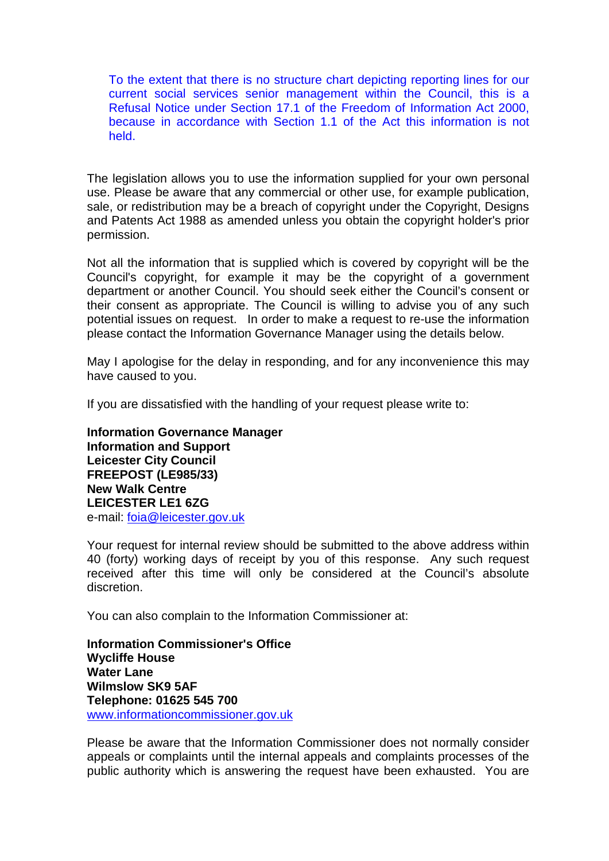To the extent that there is no structure chart depicting reporting lines for our current social services senior management within the Council, this is a Refusal Notice under Section 17.1 of the Freedom of Information Act 2000, because in accordance with Section 1.1 of the Act this information is not held.

The legislation allows you to use the information supplied for your own personal use. Please be aware that any commercial or other use, for example publication, sale, or redistribution may be a breach of copyright under the Copyright, Designs and Patents Act 1988 as amended unless you obtain the copyright holder's prior permission.

Not all the information that is supplied which is covered by copyright will be the Council's copyright, for example it may be the copyright of a government department or another Council. You should seek either the Council's consent or their consent as appropriate. The Council is willing to advise you of any such potential issues on request. In order to make a request to re-use the information please contact the Information Governance Manager using the details below.

May I apologise for the delay in responding, and for any inconvenience this may have caused to you.

If you are dissatisfied with the handling of your request please write to:

**Information Governance Manager Information and Support Leicester City Council FREEPOST (LE985/33) New Walk Centre LEICESTER LE1 6ZG**  e-mail: [foia@leicester.gov.uk](mailto:foia@leicester.gov.uk) 

Your request for internal review should be submitted to the above address within 40 (forty) working days of receipt by you of this response. Any such request received after this time will only be considered at the Council's absolute discretion.

You can also complain to the Information Commissioner at:

**Information Commissioner's Office Wycliffe House Water Lane Wilmslow SK9 5AF Telephone: 01625 545 700**  www.informationcommissioner.gov.uk

Please be aware that the Information Commissioner does not normally consider appeals or complaints until the internal appeals and complaints processes of the public authority which is answering the request have been exhausted. You are